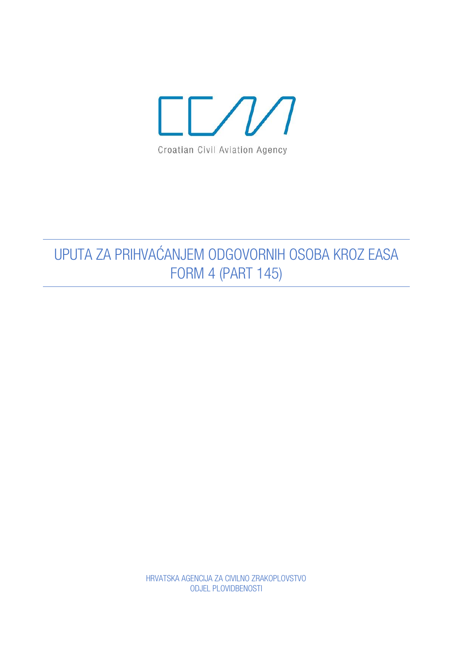

## UPUTA ZA PRIHVAĆANJEM ODGOVORNIH OSOBA KROZ EASA **FORM 4 (PART 145)**

HRVATSKA AGENCIJA ZA CIVILNO ZRAKOPLOVSTVO **ODJEL PLOVIDBENOSTI**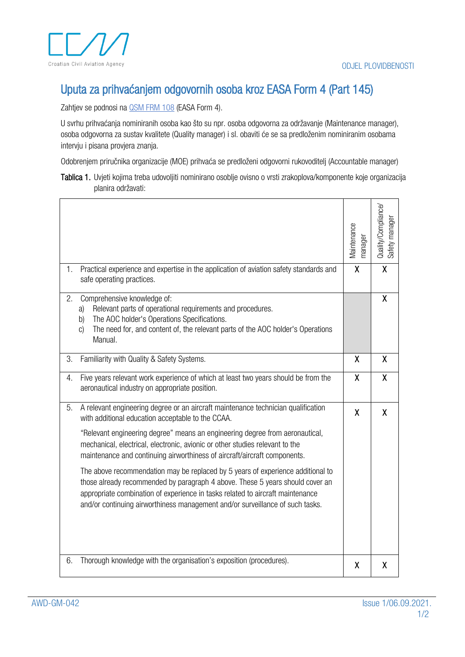

## Uputa za prihvaćanjem odgovornih osoba kroz EASA Form 4 (Part 145)

Zahtjev se podnosi na **QSM FRM 108** (EASA Form 4).

U svrhu prihvaćanja nominiranih osoba kao što su npr. osoba odgovorna za održavanje (Maintenance manager), osoba odgovorna za sustav kvalitete (Quality manager) i sl. obaviti će se sa predloženim nominiranim osobama intervju i pisana provjera znanja.

Odobrenjem priručnika organizacije (MOE) prihvaća se predloženi odgovorni rukovoditelj (Accountable manager)

Tablica 1. Uvjeti kojima treba udovoljiti nominirano osoblje ovisno o vrsti zrakoplova/komponente koje organizacija planira održavati:

|                                                                                                                                                                                                                                                                                                                                                                                                                                                                                                                                                                                                                                                                                                                                  | Maintenance<br>manager    | Quality/Compliance/<br>Safety manager |
|----------------------------------------------------------------------------------------------------------------------------------------------------------------------------------------------------------------------------------------------------------------------------------------------------------------------------------------------------------------------------------------------------------------------------------------------------------------------------------------------------------------------------------------------------------------------------------------------------------------------------------------------------------------------------------------------------------------------------------|---------------------------|---------------------------------------|
| Practical experience and expertise in the application of aviation safety standards and<br>1.<br>safe operating practices.                                                                                                                                                                                                                                                                                                                                                                                                                                                                                                                                                                                                        | $\sf X$                   | $\sf X$                               |
| 2.<br>Comprehensive knowledge of:<br>Relevant parts of operational requirements and procedures.<br>a)<br>The AOC holder's Operations Specifications.<br>b)<br>The need for, and content of, the relevant parts of the AOC holder's Operations<br>C)<br>Manual.                                                                                                                                                                                                                                                                                                                                                                                                                                                                   |                           | $\sf X$                               |
| 3.<br>Familiarity with Quality & Safety Systems.                                                                                                                                                                                                                                                                                                                                                                                                                                                                                                                                                                                                                                                                                 | $\mathsf{X}$              | X                                     |
| Five years relevant work experience of which at least two years should be from the<br>4.<br>aeronautical industry on appropriate position.                                                                                                                                                                                                                                                                                                                                                                                                                                                                                                                                                                                       | X                         | X                                     |
| 5.<br>A relevant engineering degree or an aircraft maintenance technician qualification<br>with additional education acceptable to the CCAA.<br>"Relevant engineering degree" means an engineering degree from aeronautical,<br>mechanical, electrical, electronic, avionic or other studies relevant to the<br>maintenance and continuing airworthiness of aircraft/aircraft components.<br>The above recommendation may be replaced by 5 years of experience additional to<br>those already recommended by paragraph 4 above. These 5 years should cover an<br>appropriate combination of experience in tasks related to aircraft maintenance<br>and/or continuing airworthiness management and/or surveillance of such tasks. | $\boldsymbol{\mathsf{X}}$ | X                                     |
| Thorough knowledge with the organisation's exposition (procedures).<br>6.                                                                                                                                                                                                                                                                                                                                                                                                                                                                                                                                                                                                                                                        | X                         | X                                     |